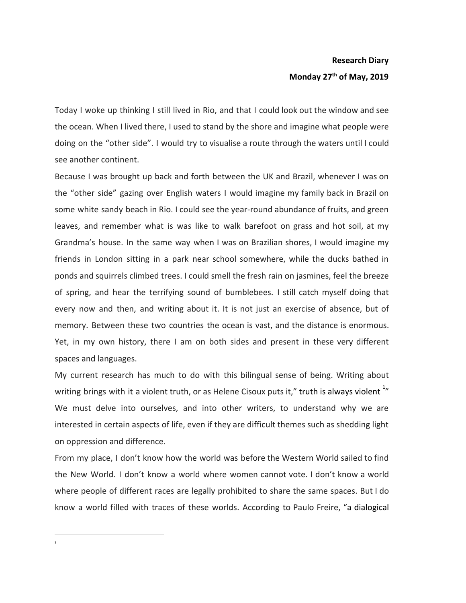## **Research Diary Monday 27th of May, 2019**

Today I woke up thinking I still lived in Rio, and that I could look out the window and see the ocean. When I lived there, I used to stand by the shore and imagine what people were doing on the "other side". I would try to visualise a route through the waters until I could see another continent.

Because I was brought up back and forth between the UK and Brazil, whenever I was on the "other side" gazing over English waters I would imagine my family back in Brazil on some white sandy beach in Rio. I could see the year-round abundance of fruits, and green leaves, and remember what is was like to walk barefoot on grass and hot soil, at my Grandma's house. In the same way when I was on Brazilian shores, I would imagine my friends in London sitting in a park near school somewhere, while the ducks bathed in ponds and squirrels climbed trees. I could smell the fresh rain on jasmines, feel the breeze of spring, and hear the terrifying sound of bumblebees. I still catch myself doing that every now and then, and writing about it. It is not just an exercise of absence, but of memory. Between these two countries the ocean is vast, and the distance is enormous. Yet, in my own history, there I am on both sides and present in these very different spaces and languages.

My current research has much to do with this bilingual sense of being. Writing about writing brings with it a violent truth, or as Helene Cisoux puts it," truth is always violent  $^{1}_{ }$ We must delve into ourselves, and into other writers, to understand why we are interested in certain aspects of life, even if they are difficult themes such as shedding light on oppression and difference.

From my place, I don't know how the world was before the Western World sailed to find the New World. I don't know a world where women cannot vote. I don't know a world where people of different races are legally prohibited to share the same spaces. But I do know a world filled with traces of these worlds. According to Paulo Freire, "a dialogical

<sup>1</sup>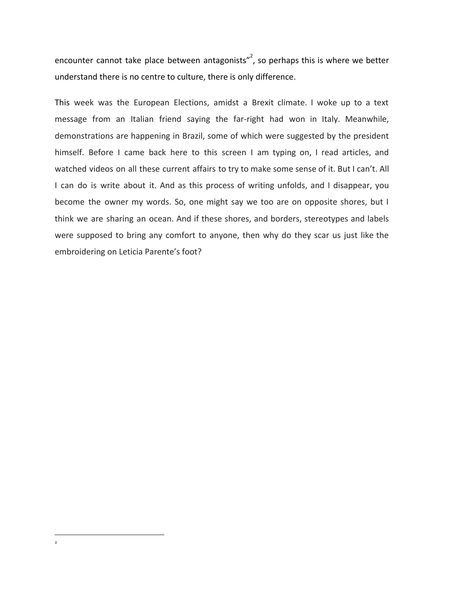encounter cannot take place between antagonists", so perhaps this is where we better understand there is no centre to culture, there is only difference.

This week was the European Elections, amidst a Brexit climate. I woke up to a text message from an Italian friend saying the far-right had won in Italy. Meanwhile, demonstrations are happening in Brazil, some of which were suggested by the president himself. Before I came back here to this screen I am typing on, I read articles, and watched videos on all these current affairs to try to make some sense of it. But I can't. All I can do is write about it. And as this process of writing unfolds, and I disappear, you become the owner my words. So, one might say we too are on opposite shores, but I think we are sharing an ocean. And if these shores, and borders, stereotypes and labels were supposed to bring any comfort to anyone, then why do they scar us just like the embroidering on Leticia Parente's foot?

2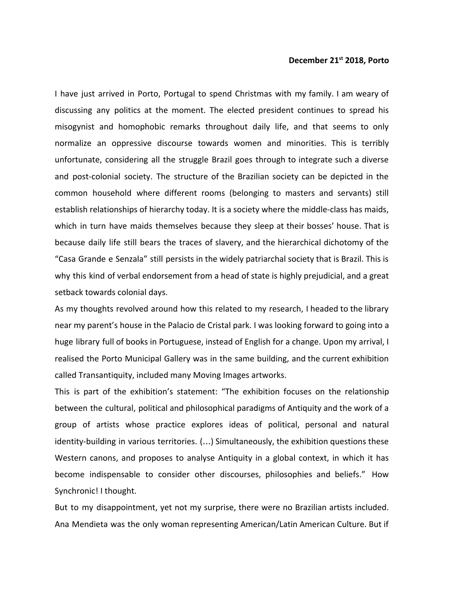## **December 21st 2018, Porto**

I have just arrived in Porto, Portugal to spend Christmas with my family. I am weary of discussing any politics at the moment. The elected president continues to spread his misogynist and homophobic remarks throughout daily life, and that seems to only normalize an oppressive discourse towards women and minorities. This is terribly unfortunate, considering all the struggle Brazil goes through to integrate such a diverse and post-colonial society. The structure of the Brazilian society can be depicted in the common household where different rooms (belonging to masters and servants) still establish relationships of hierarchy today. It is a society where the middle-class has maids, which in turn have maids themselves because they sleep at their bosses' house. That is because daily life still bears the traces of slavery, and the hierarchical dichotomy of the "Casa Grande e Senzala" still persists in the widely patriarchal society that is Brazil. This is why this kind of verbal endorsement from a head of state is highly prejudicial, and a great setback towards colonial days.

As my thoughts revolved around how this related to my research, I headed to the library near my parent's house in the Palacio de Cristal park. I was looking forward to going into a huge library full of books in Portuguese, instead of English for a change. Upon my arrival, I realised the Porto Municipal Gallery was in the same building, and the current exhibition called Transantiquity, included many Moving Images artworks.

This is part of the exhibition's statement: "The exhibition focuses on the relationship between the cultural, political and philosophical paradigms of Antiquity and the work of a group of artists whose practice explores ideas of political, personal and natural identity-building in various territories. (…) Simultaneously, the exhibition questions these Western canons, and proposes to analyse Antiquity in a global context, in which it has become indispensable to consider other discourses, philosophies and beliefs." How Synchronic! I thought.

But to my disappointment, yet not my surprise, there were no Brazilian artists included. Ana Mendieta was the only woman representing American/Latin American Culture. But if